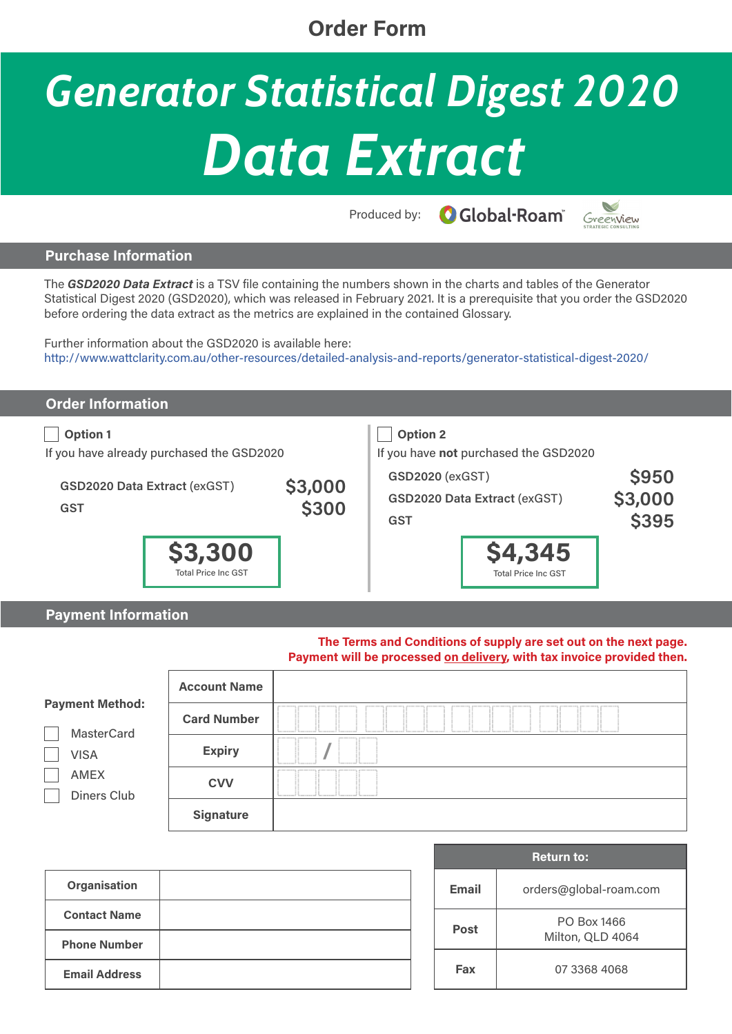### **Order Form**

# *Generator Statistical Digest 2020 Data Extract*

**O**Global-Roam® Produced by:

V Greenview

#### **Purchase Information**

The *GSD2020 Data Extract* is a TSV file containing the numbers shown in the charts and tables of the Generator Statistical Digest 2020 (GSD2020), which was released in February 2021. It is a prerequisite that you order the GSD2020 before ordering the data extract as the metrics are explained in the contained Glossary.

Further information about the GSD2020 is available here: http://www.wattclarity.com.au/other-resources/detailed-analysis-and-reports/generator-statistical-digest-2020/

| <b>Order Information</b>                                                                                          |                                       |                  |                                                                                                                                         |                                       |                                         |  |
|-------------------------------------------------------------------------------------------------------------------|---------------------------------------|------------------|-----------------------------------------------------------------------------------------------------------------------------------------|---------------------------------------|-----------------------------------------|--|
| <b>Option 1</b><br>If you have already purchased the GSD2020<br><b>GSD2020 Data Extract (exGST)</b><br><b>GST</b> |                                       | \$3,000<br>\$300 | <b>Option 2</b><br>If you have not purchased the GSD2020<br><b>GSD2020 (exGST)</b><br><b>GSD2020 Data Extract (exGST)</b><br><b>GST</b> |                                       | <b>\$950</b><br>\$3,000<br><b>\$395</b> |  |
|                                                                                                                   | \$3,300<br><b>Total Price Inc GST</b> |                  |                                                                                                                                         | \$4,345<br><b>Total Price Inc GST</b> |                                         |  |

#### **Payment Information**

**The Terms and Conditions of supply are set out on the next page. Payment will be processed on delivery, with tax invoice provided then.**

|                                             | <b>Account Name</b> |  |  |  |  |
|---------------------------------------------|---------------------|--|--|--|--|
| <b>Payment Method:</b><br><b>MasterCard</b> | <b>Card Number</b>  |  |  |  |  |
| <b>VISA</b>                                 | <b>Expiry</b>       |  |  |  |  |
| AMEX<br>Diners Club                         | <b>CVV</b>          |  |  |  |  |
|                                             | <b>Signature</b>    |  |  |  |  |

| Organisation         |  |
|----------------------|--|
| <b>Contact Name</b>  |  |
| <b>Phone Number</b>  |  |
| <b>Email Address</b> |  |

| <b>Return to:</b> |                                 |  |  |  |
|-------------------|---------------------------------|--|--|--|
| <b>Email</b>      | orders@global-roam.com          |  |  |  |
| <b>Post</b>       | PO Box 1466<br>Milton, QLD 4064 |  |  |  |
| Fax               | 07 3368 4068                    |  |  |  |